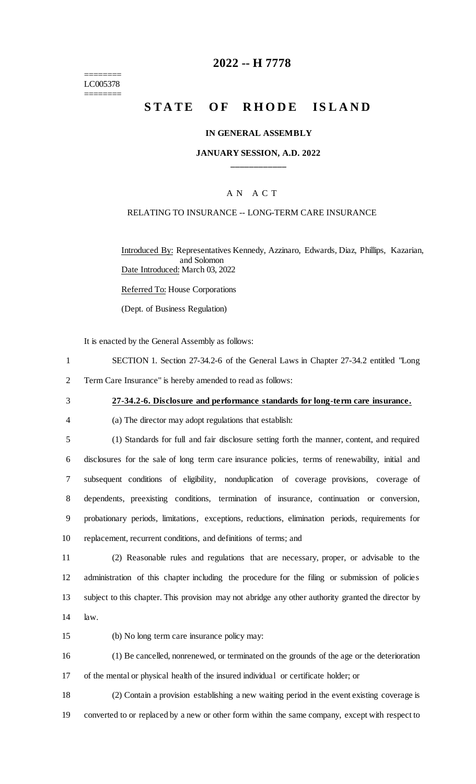======== LC005378 ========

## **2022 -- H 7778**

# **STATE OF RHODE ISLAND**

#### **IN GENERAL ASSEMBLY**

#### **JANUARY SESSION, A.D. 2022 \_\_\_\_\_\_\_\_\_\_\_\_**

### A N A C T

#### RELATING TO INSURANCE -- LONG-TERM CARE INSURANCE

Introduced By: Representatives Kennedy, Azzinaro, Edwards, Diaz, Phillips, Kazarian, and Solomon Date Introduced: March 03, 2022

Referred To: House Corporations

(Dept. of Business Regulation)

It is enacted by the General Assembly as follows:

| SECTION 1. Section 27-34.2-6 of the General Laws in Chapter 27-34.2 entitled "Long |  |  |
|------------------------------------------------------------------------------------|--|--|
|                                                                                    |  |  |

2 Term Care Insurance" is hereby amended to read as follows:

3 **27-34.2-6. Disclosure and performance standards for long-term care insurance.**

4 (a) The director may adopt regulations that establish:

 (1) Standards for full and fair disclosure setting forth the manner, content, and required disclosures for the sale of long term care insurance policies, terms of renewability, initial and subsequent conditions of eligibility, nonduplication of coverage provisions, coverage of dependents, preexisting conditions, termination of insurance, continuation or conversion, probationary periods, limitations, exceptions, reductions, elimination periods, requirements for replacement, recurrent conditions, and definitions of terms; and

 (2) Reasonable rules and regulations that are necessary, proper, or advisable to the administration of this chapter including the procedure for the filing or submission of policies subject to this chapter. This provision may not abridge any other authority granted the director by 14 law.

15 (b) No long term care insurance policy may:

16 (1) Be cancelled, nonrenewed, or terminated on the grounds of the age or the deterioration 17 of the mental or physical health of the insured individual or certificate holder; or

18 (2) Contain a provision establishing a new waiting period in the event existing coverage is 19 converted to or replaced by a new or other form within the same company, except with respect to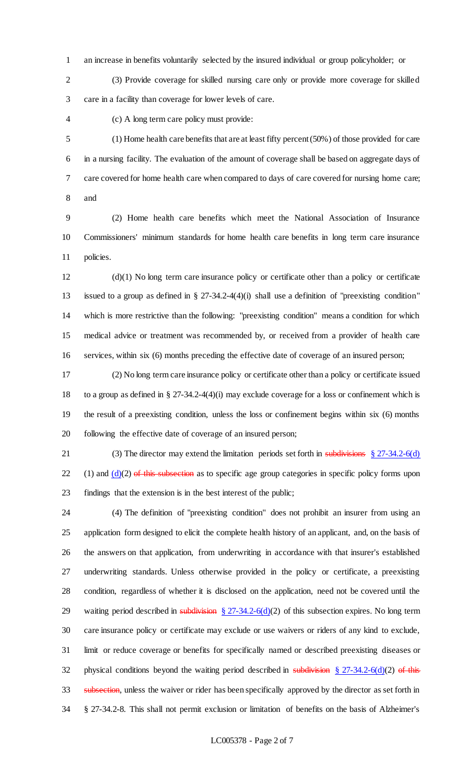an increase in benefits voluntarily selected by the insured individual or group policyholder; or

 (3) Provide coverage for skilled nursing care only or provide more coverage for skilled care in a facility than coverage for lower levels of care.

(c) A long term care policy must provide:

 (1) Home health care benefits that are at least fifty percent (50%) of those provided for care in a nursing facility. The evaluation of the amount of coverage shall be based on aggregate days of care covered for home health care when compared to days of care covered for nursing home care; and

 (2) Home health care benefits which meet the National Association of Insurance Commissioners' minimum standards for home health care benefits in long term care insurance policies.

 (d)(1) No long term care insurance policy or certificate other than a policy or certificate issued to a group as defined in § 27-34.2-4(4)(i) shall use a definition of "preexisting condition" which is more restrictive than the following: "preexisting condition" means a condition for which medical advice or treatment was recommended by, or received from a provider of health care services, within six (6) months preceding the effective date of coverage of an insured person;

 (2) No long term care insurance policy or certificate other than a policy or certificate issued to a group as defined in § 27-34.2-4(4)(i) may exclude coverage for a loss or confinement which is the result of a preexisting condition, unless the loss or confinement begins within six (6) months following the effective date of coverage of an insured person;

21 (3) The director may extend the limitation periods set forth in subdivisions § 27-34.2-6(d) 22 (1) and  $(d)(2)$  of this subsection as to specific age group categories in specific policy forms upon findings that the extension is in the best interest of the public;

 (4) The definition of "preexisting condition" does not prohibit an insurer from using an application form designed to elicit the complete health history of an applicant, and, on the basis of the answers on that application, from underwriting in accordance with that insurer's established underwriting standards. Unless otherwise provided in the policy or certificate, a preexisting condition, regardless of whether it is disclosed on the application, need not be covered until the 29 waiting period described in subdivision  $\S 27-34.2-6(d)(2)$  of this subsection expires. No long term care insurance policy or certificate may exclude or use waivers or riders of any kind to exclude, limit or reduce coverage or benefits for specifically named or described preexisting diseases or 32 physical conditions beyond the waiting period described in subdivision  $\S 27-34.2-6(d)(2)$  of this 33 subsection, unless the waiver or rider has been specifically approved by the director as set forth in § 27-34.2-8. This shall not permit exclusion or limitation of benefits on the basis of Alzheimer's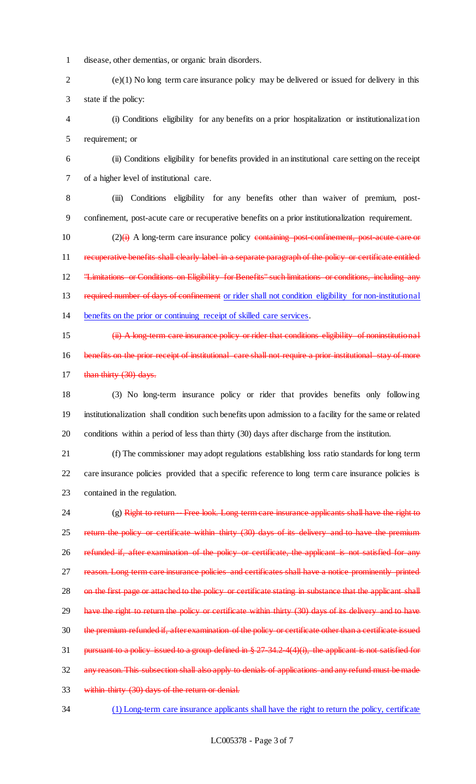- disease, other dementias, or organic brain disorders.
- (e)(1) No long term care insurance policy may be delivered or issued for delivery in this state if the policy:
- (i) Conditions eligibility for any benefits on a prior hospitalization or institutionalization requirement; or
- (ii) Conditions eligibility for benefits provided in an institutional care setting on the receipt of a higher level of institutional care.
- (iii) Conditions eligibility for any benefits other than waiver of premium, post-confinement, post-acute care or recuperative benefits on a prior institutionalization requirement.
- 10  $(2)(i)$  A long-term care insurance policy containing post-confinement, post-acute care or 11 recuperative benefits shall clearly label in a separate paragraph of the policy or certificate entitled "Limitations or Conditions on Eligibility for Benefits" such limitations or conditions, including any required number of days of confinement or rider shall not condition eligibility for non-institutional benefits on the prior or continuing receipt of skilled care services.
- (ii) A long-term care insurance policy or rider that conditions eligibility of noninstitutional 16 benefits on the prior receipt of institutional care shall not require a prior institutional stay of more 17 than thirty (30) days.
- (3) No long-term insurance policy or rider that provides benefits only following institutionalization shall condition such benefits upon admission to a facility for the same or related conditions within a period of less than thirty (30) days after discharge from the institution.
- (f) The commissioner may adopt regulations establishing loss ratio standards for long term care insurance policies provided that a specific reference to long term care insurance policies is contained in the regulation.
- 24 (g) Right to return -- Free look. Long term care insurance applicants shall have the right to 25 return the policy or certificate within thirty (30) days of its delivery and to have the premium refunded if, after examination of the policy or certificate, the applicant is not satisfied for any 27 reason. Long term care insurance policies and certificates shall have a notice prominently printed 28 on the first page or attached to the policy or certificate stating in substance that the applicant shall 29 have the right to return the policy or certificate within thirty (30) days of its delivery and to have 30 the premium refunded if, after examination of the policy or certificate other than a certificate issued 31 pursuant to a policy issued to a group defined in  $\S 27-34.2-4(4)(i)$ , the applicant is not satisfied for 32 any reason. This subsection shall also apply to denials of applications and any refund must be made within thirty (30) days of the return or denial.
- (1) Long-term care insurance applicants shall have the right to return the policy, certificate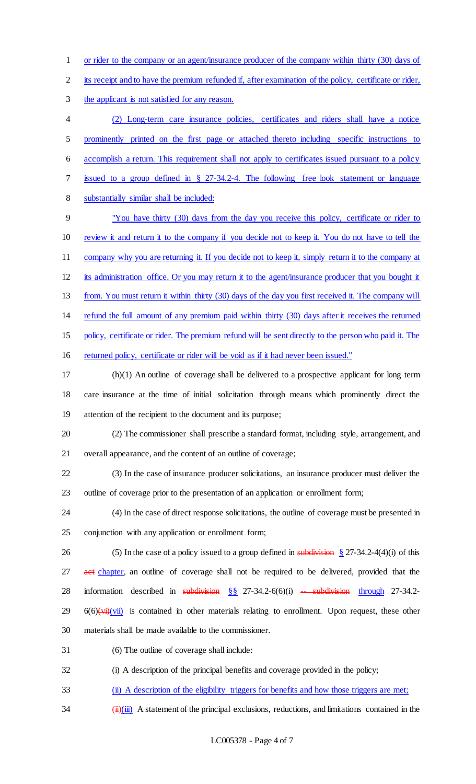1 or rider to the company or an agent/insurance producer of the company within thirty (30) days of

its receipt and to have the premium refunded if, after examination of the policy, certificate or rider,

the applicant is not satisfied for any reason.

 (2) Long-term care insurance policies, certificates and riders shall have a notice prominently printed on the first page or attached thereto including specific instructions to accomplish a return. This requirement shall not apply to certificates issued pursuant to a policy issued to a group defined in § 27-34.2-4. The following free look statement or language substantially similar shall be included:

 "You have thirty (30) days from the day you receive this policy, certificate or rider to review it and return it to the company if you decide not to keep it. You do not have to tell the company why you are returning it. If you decide not to keep it, simply return it to the company at

its administration office. Or you may return it to the agent/insurance producer that you bought it

from. You must return it within thirty (30) days of the day you first received it. The company will

refund the full amount of any premium paid within thirty (30) days after it receives the returned

policy, certificate or rider. The premium refund will be sent directly to the person who paid it. The

returned policy, certificate or rider will be void as if it had never been issued."

 (h)(1) An outline of coverage shall be delivered to a prospective applicant for long term care insurance at the time of initial solicitation through means which prominently direct the attention of the recipient to the document and its purpose;

 (2) The commissioner shall prescribe a standard format, including style, arrangement, and overall appearance, and the content of an outline of coverage;

 (3) In the case of insurance producer solicitations, an insurance producer must deliver the outline of coverage prior to the presentation of an application or enrollment form;

 (4) In the case of direct response solicitations, the outline of coverage must be presented in conjunction with any application or enrollment form;

26 (5) In the case of a policy issued to a group defined in subdivision  $\S$  27-34.2-4(4)(i) of this 27 act chapter, an outline of coverage shall not be required to be delivered, provided that the 28 information described in subdivision  $\S$ § 27-34.2-6(6)(i) - subdivision through 27-34.2- 6(6) $\left(\frac{v_i}{v_i}\right)$  is contained in other materials relating to enrollment. Upon request, these other materials shall be made available to the commissioner.

(6) The outline of coverage shall include:

(i) A description of the principal benefits and coverage provided in the policy;

(ii) A description of the eligibility triggers for benefits and how those triggers are met;

 $\frac{1}{2}$  (ii)(iii) A statement of the principal exclusions, reductions, and limitations contained in the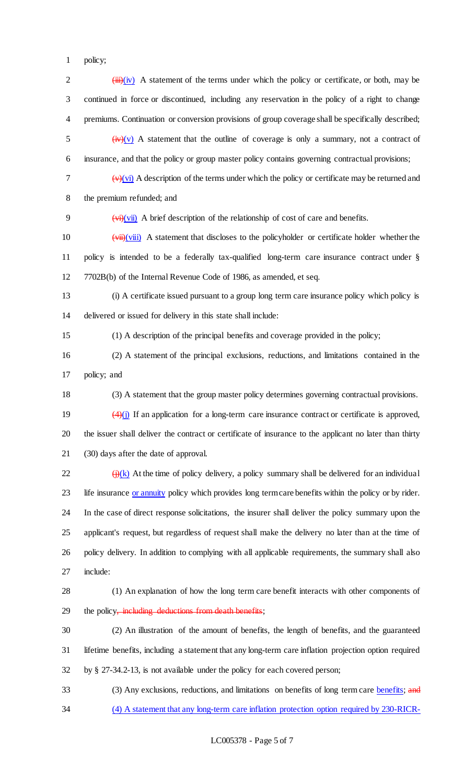policy;

| $\overline{2}$ | $\overrightarrow{iii}$ (iv) A statement of the terms under which the policy or certificate, or both, may be        |  |  |  |
|----------------|--------------------------------------------------------------------------------------------------------------------|--|--|--|
| $\mathfrak{Z}$ | continued in force or discontinued, including any reservation in the policy of a right to change                   |  |  |  |
| $\overline{4}$ | premiums. Continuation or conversion provisions of group coverage shall be specifically described;                 |  |  |  |
| 5              | $\overrightarrow{(iv)}(v)$ A statement that the outline of coverage is only a summary, not a contract of           |  |  |  |
| 6              | insurance, and that the policy or group master policy contains governing contractual provisions;                   |  |  |  |
| 7              | $(v)(vi)$ A description of the terms under which the policy or certificate may be returned and                     |  |  |  |
| 8              | the premium refunded; and                                                                                          |  |  |  |
| 9              | $\overrightarrow{(vi)}$ (vii) A brief description of the relationship of cost of care and benefits.                |  |  |  |
| 10             | $\overline{({\rm{viii}})}$ (viii) A statement that discloses to the policyholder or certificate holder whether the |  |  |  |
| 11             | policy is intended to be a federally tax-qualified long-term care insurance contract under §                       |  |  |  |
| 12             | 7702B(b) of the Internal Revenue Code of 1986, as amended, et seq.                                                 |  |  |  |
| 13             | (i) A certificate issued pursuant to a group long term care insurance policy which policy is                       |  |  |  |
| 14             | delivered or issued for delivery in this state shall include:                                                      |  |  |  |
| 15             | (1) A description of the principal benefits and coverage provided in the policy;                                   |  |  |  |
| 16             | (2) A statement of the principal exclusions, reductions, and limitations contained in the                          |  |  |  |
| 17             | policy; and                                                                                                        |  |  |  |
| 18             | (3) A statement that the group master policy determines governing contractual provisions.                          |  |  |  |
| 19             | $(4)(i)$ If an application for a long-term care insurance contract or certificate is approved,                     |  |  |  |
| 20             | the issuer shall deliver the contract or certificate of insurance to the applicant no later than thirty            |  |  |  |
| 21             | (30) days after the date of approval.                                                                              |  |  |  |
| 22             | $\Theta(k)$ At the time of policy delivery, a policy summary shall be delivered for an individual                  |  |  |  |
| 23             | life insurance or annuity policy which provides long term care benefits within the policy or by rider.             |  |  |  |
| 24             | In the case of direct response solicitations, the insurer shall deliver the policy summary upon the                |  |  |  |
| 25             | applicant's request, but regardless of request shall make the delivery no later than at the time of                |  |  |  |
| 26             | policy delivery. In addition to complying with all applicable requirements, the summary shall also                 |  |  |  |
| 27             | include:                                                                                                           |  |  |  |
| 28             | (1) An explanation of how the long term care benefit interacts with other components of                            |  |  |  |
| 29             | the policy, including deductions from death benefits;                                                              |  |  |  |
| 30             | (2) An illustration of the amount of benefits, the length of benefits, and the guaranteed                          |  |  |  |
| 31             | lifetime benefits, including a statement that any long-term care inflation projection option required              |  |  |  |
| 32             | by § 27-34.2-13, is not available under the policy for each covered person;                                        |  |  |  |
| 33             | (3) Any exclusions, reductions, and limitations on benefits of long term care benefits; and                        |  |  |  |
| 34             | (4) A statement that any long-term care inflation protection option required by 230-RICR-                          |  |  |  |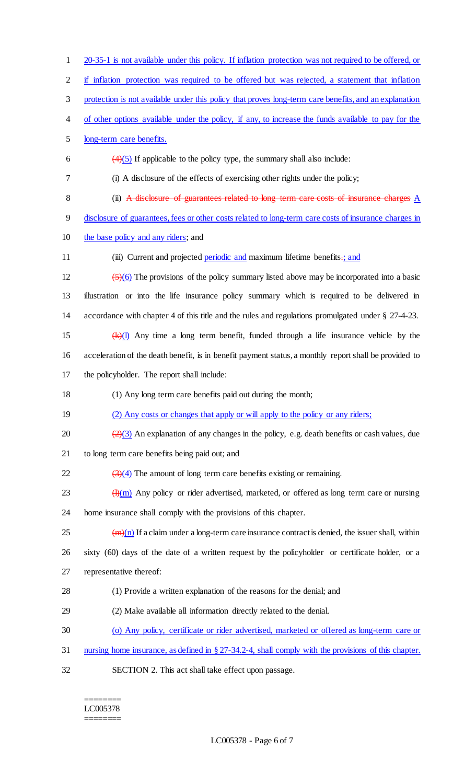20-35-1 is not available under this policy. If inflation protection was not required to be offered, or if inflation protection was required to be offered but was rejected, a statement that inflation protection is not available under this policy that proves long-term care benefits, and an explanation of other options available under the policy, if any, to increase the funds available to pay for the long-term care benefits.  $\left(4\right)\left(5\right)$  If applicable to the policy type, the summary shall also include: (i) A disclosure of the effects of exercising other rights under the policy; 8 (ii) A disclosure of guarantees related to long term care costs of insurance charges A disclosure of guarantees, fees or other costs related to long-term care costs of insurance charges in 10 the base policy and any riders; and 11 (iii) Current and projected periodic and maximum lifetime benefits.; and  $\left( \frac{5}{6} \right)$  The provisions of the policy summary listed above may be incorporated into a basic illustration or into the life insurance policy summary which is required to be delivered in accordance with chapter 4 of this title and the rules and regulations promulgated under § 27-4-23.  $(k)(l)$  Any time a long term benefit, funded through a life insurance vehicle by the acceleration of the death benefit, is in benefit payment status, a monthly report shall be provided to the policyholder. The report shall include: (1) Any long term care benefits paid out during the month; 19 (2) Any costs or changes that apply or will apply to the policy or any riders;  $\left(\frac{2}{3}\right)$  An explanation of any changes in the policy, e.g. death benefits or cash values, due to long term care benefits being paid out; and  $\frac{(3)(4)}{(4)}$  The amount of long term care benefits existing or remaining.  $\frac{(\mathrm{H})(\mathrm{m})}{(\mathrm{H})(\mathrm{m})}$  Any policy or rider advertised, marketed, or offered as long term care or nursing home insurance shall comply with the provisions of this chapter.  $25 \qquad \frac{(m)(n)}{n}$  If a claim under a long-term care insurance contract is denied, the issuer shall, within sixty (60) days of the date of a written request by the policyholder or certificate holder, or a representative thereof: (1) Provide a written explanation of the reasons for the denial; and (2) Make available all information directly related to the denial. (o) Any policy, certificate or rider advertised, marketed or offered as long-term care or nursing home insurance, as defined in § 27-34.2-4, shall comply with the provisions of this chapter. SECTION 2. This act shall take effect upon passage.

======== LC005378 ========